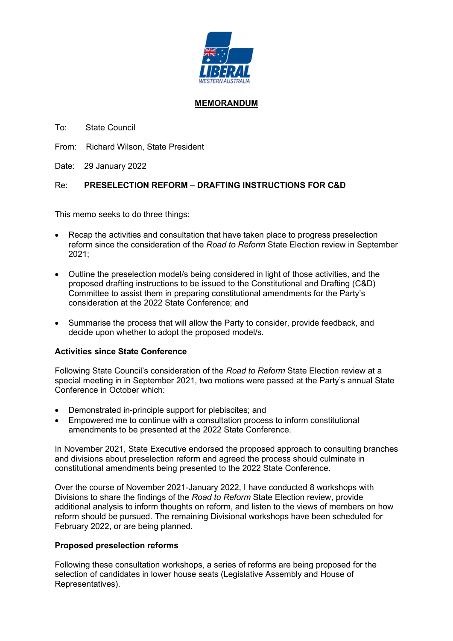

## MEMORANDUM

To: State Council

From: Richard Wilson, State President

Date: 29 January 2022

# Re: PRESELECTION REFORM – DRAFTING INSTRUCTIONS FOR C&D

This memo seeks to do three things:

- Recap the activities and consultation that have taken place to progress preselection reform since the consideration of the Road to Reform State Election review in September 2021;
- Outline the preselection model/s being considered in light of those activities, and the proposed drafting instructions to be issued to the Constitutional and Drafting (C&D) Committee to assist them in preparing constitutional amendments for the Party's consideration at the 2022 State Conference; and
- Summarise the process that will allow the Party to consider, provide feedback, and decide upon whether to adopt the proposed model/s.

## Activities since State Conference

Following State Council's consideration of the Road to Reform State Election review at a special meeting in in September 2021, two motions were passed at the Party's annual State Conference in October which:

- Demonstrated in-principle support for plebiscites; and
- Empowered me to continue with a consultation process to inform constitutional amendments to be presented at the 2022 State Conference.

In November 2021, State Executive endorsed the proposed approach to consulting branches and divisions about preselection reform and agreed the process should culminate in constitutional amendments being presented to the 2022 State Conference.

Over the course of November 2021-January 2022, I have conducted 8 workshops with Divisions to share the findings of the Road to Reform State Election review, provide additional analysis to inform thoughts on reform, and listen to the views of members on how reform should be pursued. The remaining Divisional workshops have been scheduled for February 2022, or are being planned.

## Proposed preselection reforms

Following these consultation workshops, a series of reforms are being proposed for the selection of candidates in lower house seats (Legislative Assembly and House of Representatives).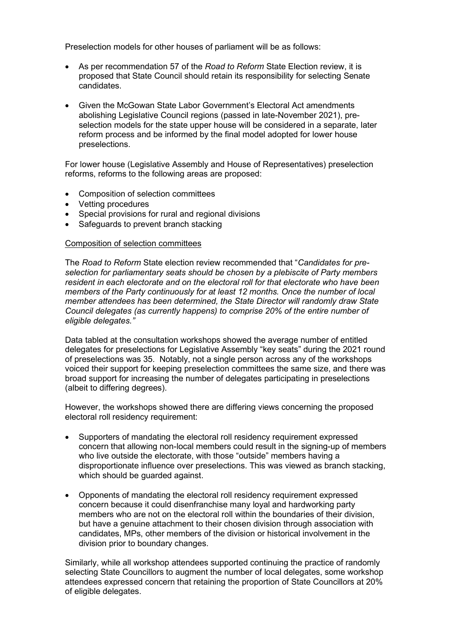Preselection models for other houses of parliament will be as follows:

- As per recommendation 57 of the Road to Reform State Election review, it is proposed that State Council should retain its responsibility for selecting Senate candidates.
- Given the McGowan State Labor Government's Electoral Act amendments abolishing Legislative Council regions (passed in late-November 2021), preselection models for the state upper house will be considered in a separate, later reform process and be informed by the final model adopted for lower house preselections.

For lower house (Legislative Assembly and House of Representatives) preselection reforms, reforms to the following areas are proposed:

- Composition of selection committees
- Vetting procedures
- Special provisions for rural and regional divisions
- Safeguards to prevent branch stacking

#### Composition of selection committees

The Road to Reform State election review recommended that "Candidates for preselection for parliamentary seats should be chosen by a plebiscite of Party members resident in each electorate and on the electoral roll for that electorate who have been members of the Party continuously for at least 12 months. Once the number of local member attendees has been determined, the State Director will randomly draw State Council delegates (as currently happens) to comprise 20% of the entire number of eligible delegates."

Data tabled at the consultation workshops showed the average number of entitled delegates for preselections for Legislative Assembly "key seats" during the 2021 round of preselections was 35. Notably, not a single person across any of the workshops voiced their support for keeping preselection committees the same size, and there was broad support for increasing the number of delegates participating in preselections (albeit to differing degrees).

However, the workshops showed there are differing views concerning the proposed electoral roll residency requirement:

- Supporters of mandating the electoral roll residency requirement expressed concern that allowing non-local members could result in the signing-up of members who live outside the electorate, with those "outside" members having a disproportionate influence over preselections. This was viewed as branch stacking, which should be guarded against.
- Opponents of mandating the electoral roll residency requirement expressed concern because it could disenfranchise many loyal and hardworking party members who are not on the electoral roll within the boundaries of their division, but have a genuine attachment to their chosen division through association with candidates, MPs, other members of the division or historical involvement in the division prior to boundary changes.

Similarly, while all workshop attendees supported continuing the practice of randomly selecting State Councillors to augment the number of local delegates, some workshop attendees expressed concern that retaining the proportion of State Councillors at 20% of eligible delegates.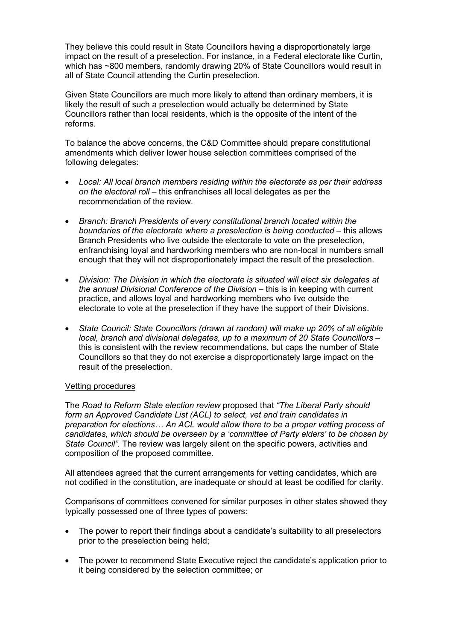They believe this could result in State Councillors having a disproportionately large impact on the result of a preselection. For instance, in a Federal electorate like Curtin, which has ~800 members, randomly drawing 20% of State Councillors would result in all of State Council attending the Curtin preselection.

Given State Councillors are much more likely to attend than ordinary members, it is likely the result of such a preselection would actually be determined by State Councillors rather than local residents, which is the opposite of the intent of the reforms.

To balance the above concerns, the C&D Committee should prepare constitutional amendments which deliver lower house selection committees comprised of the following delegates:

- Local: All local branch members residing within the electorate as per their address on the electoral roll – this enfranchises all local delegates as per the recommendation of the review.
- Branch: Branch Presidents of every constitutional branch located within the boundaries of the electorate where a preselection is being conducted – this allows Branch Presidents who live outside the electorate to vote on the preselection, enfranchising loyal and hardworking members who are non-local in numbers small enough that they will not disproportionately impact the result of the preselection.
- Division: The Division in which the electorate is situated will elect six delegates at the annual Divisional Conference of the Division – this is in keeping with current practice, and allows loyal and hardworking members who live outside the electorate to vote at the preselection if they have the support of their Divisions.
- State Council: State Councillors (drawn at random) will make up 20% of all eligible local, branch and divisional delegates, up to a maximum of 20 State Councillors – this is consistent with the review recommendations, but caps the number of State Councillors so that they do not exercise a disproportionately large impact on the result of the preselection.

## Vetting procedures

The Road to Reform State election review proposed that "The Liberal Party should form an Approved Candidate List (ACL) to select, vet and train candidates in preparation for elections… An ACL would allow there to be a proper vetting process of candidates, which should be overseen by a 'committee of Party elders' to be chosen by State Council". The review was largely silent on the specific powers, activities and composition of the proposed committee.

All attendees agreed that the current arrangements for vetting candidates, which are not codified in the constitution, are inadequate or should at least be codified for clarity.

Comparisons of committees convened for similar purposes in other states showed they typically possessed one of three types of powers:

- The power to report their findings about a candidate's suitability to all preselectors prior to the preselection being held;
- The power to recommend State Executive reject the candidate's application prior to it being considered by the selection committee; or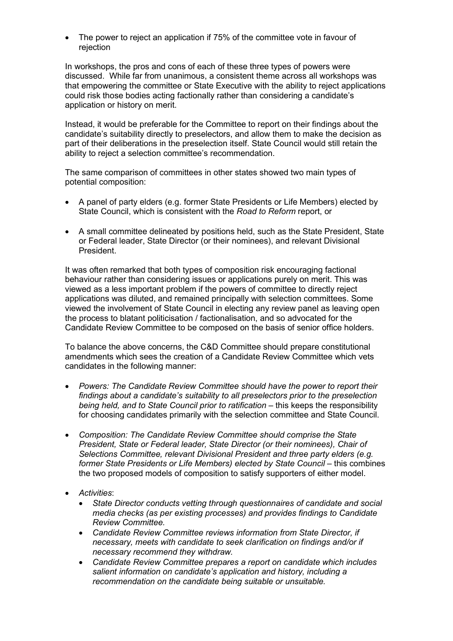The power to reject an application if 75% of the committee vote in favour of rejection

In workshops, the pros and cons of each of these three types of powers were discussed. While far from unanimous, a consistent theme across all workshops was that empowering the committee or State Executive with the ability to reject applications could risk those bodies acting factionally rather than considering a candidate's application or history on merit.

Instead, it would be preferable for the Committee to report on their findings about the candidate's suitability directly to preselectors, and allow them to make the decision as part of their deliberations in the preselection itself. State Council would still retain the ability to reject a selection committee's recommendation.

The same comparison of committees in other states showed two main types of potential composition:

- A panel of party elders (e.g. former State Presidents or Life Members) elected by State Council, which is consistent with the Road to Reform report, or
- A small committee delineated by positions held, such as the State President, State or Federal leader, State Director (or their nominees), and relevant Divisional President.

It was often remarked that both types of composition risk encouraging factional behaviour rather than considering issues or applications purely on merit. This was viewed as a less important problem if the powers of committee to directly reject applications was diluted, and remained principally with selection committees. Some viewed the involvement of State Council in electing any review panel as leaving open the process to blatant politicisation / factionalisation, and so advocated for the Candidate Review Committee to be composed on the basis of senior office holders.

To balance the above concerns, the C&D Committee should prepare constitutional amendments which sees the creation of a Candidate Review Committee which vets candidates in the following manner:

- Powers: The Candidate Review Committee should have the power to report their findings about a candidate's suitability to all preselectors prior to the preselection being held, and to State Council prior to ratification – this keeps the responsibility for choosing candidates primarily with the selection committee and State Council.
- Composition: The Candidate Review Committee should comprise the State President, State or Federal leader, State Director (or their nominees), Chair of Selections Committee, relevant Divisional President and three party elders (e.g. former State Presidents or Life Members) elected by State Council – this combines the two proposed models of composition to satisfy supporters of either model.
- Activities:
	- State Director conducts vetting through questionnaires of candidate and social media checks (as per existing processes) and provides findings to Candidate Review Committee.
	- Candidate Review Committee reviews information from State Director, if necessary, meets with candidate to seek clarification on findings and/or if necessary recommend they withdraw.
	- Candidate Review Committee prepares a report on candidate which includes salient information on candidate's application and history, including a recommendation on the candidate being suitable or unsuitable.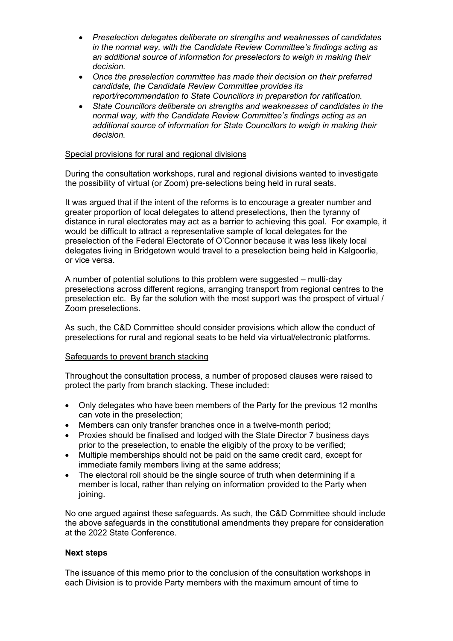- Preselection delegates deliberate on strengths and weaknesses of candidates in the normal way, with the Candidate Review Committee's findings acting as an additional source of information for preselectors to weigh in making their decision.
- Once the preselection committee has made their decision on their preferred candidate, the Candidate Review Committee provides its report/recommendation to State Councillors in preparation for ratification.
- State Councillors deliberate on strengths and weaknesses of candidates in the normal way, with the Candidate Review Committee's findings acting as an additional source of information for State Councillors to weigh in making their decision.

## Special provisions for rural and regional divisions

During the consultation workshops, rural and regional divisions wanted to investigate the possibility of virtual (or Zoom) pre-selections being held in rural seats.

It was argued that if the intent of the reforms is to encourage a greater number and greater proportion of local delegates to attend preselections, then the tyranny of distance in rural electorates may act as a barrier to achieving this goal. For example, it would be difficult to attract a representative sample of local delegates for the preselection of the Federal Electorate of O'Connor because it was less likely local delegates living in Bridgetown would travel to a preselection being held in Kalgoorlie, or vice versa.

A number of potential solutions to this problem were suggested – multi-day preselections across different regions, arranging transport from regional centres to the preselection etc. By far the solution with the most support was the prospect of virtual / Zoom preselections.

As such, the C&D Committee should consider provisions which allow the conduct of preselections for rural and regional seats to be held via virtual/electronic platforms.

#### Safeguards to prevent branch stacking

Throughout the consultation process, a number of proposed clauses were raised to protect the party from branch stacking. These included:

- Only delegates who have been members of the Party for the previous 12 months can vote in the preselection;
- Members can only transfer branches once in a twelve-month period;
- Proxies should be finalised and lodged with the State Director 7 business days prior to the preselection, to enable the eligibly of the proxy to be verified;
- Multiple memberships should not be paid on the same credit card, except for immediate family members living at the same address;
- The electoral roll should be the single source of truth when determining if a member is local, rather than relying on information provided to the Party when joining.

No one argued against these safeguards. As such, the C&D Committee should include the above safeguards in the constitutional amendments they prepare for consideration at the 2022 State Conference.

#### Next steps

The issuance of this memo prior to the conclusion of the consultation workshops in each Division is to provide Party members with the maximum amount of time to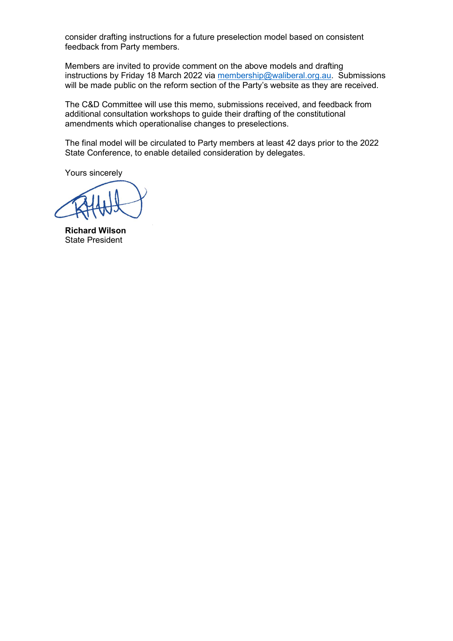consider drafting instructions for a future preselection model based on consistent feedback from Party members.

Members are invited to provide comment on the above models and drafting instructions by Friday 18 March 2022 via membership@waliberal.org.au. Submissions will be made public on the reform section of the Party's website as they are received.

The C&D Committee will use this memo, submissions received, and feedback from additional consultation workshops to guide their drafting of the constitutional amendments which operationalise changes to preselections.

The final model will be circulated to Party members at least 42 days prior to the 2022 State Conference, to enable detailed consideration by delegates.

Yours sincerely

Richard Wilson State President